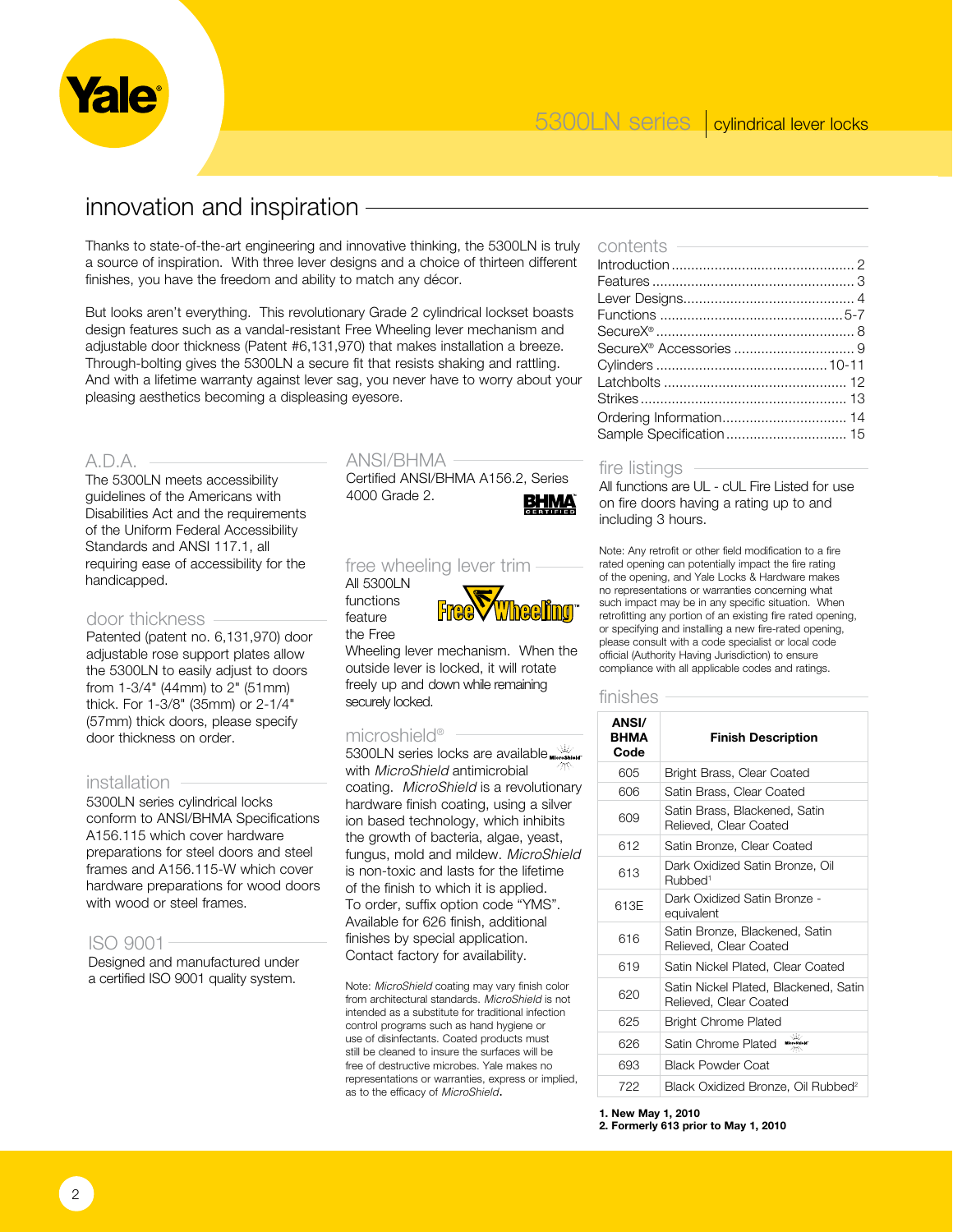

# innovation and inspiration

Thanks to state-of-the-art engineering and innovative thinking, the 5300LN is truly a source of inspiration. With three lever designs and a choice of thirteen different finishes, you have the freedom and ability to match any décor.

But looks aren't everything. This revolutionary Grade 2 cylindrical lockset boasts design features such as a vandal-resistant Free Wheeling lever mechanism and adjustable door thickness (Patent #6,131,970) that makes installation a breeze. Through-bolting gives the 5300LN a secure fit that resists shaking and rattling. And with a lifetime warranty against lever sag, you never have to worry about your pleasing aesthetics becoming a displeasing eyesore.

### A.D.A.

The 5300LN meets accessibility guidelines of the Americans with Disabilities Act and the requirements of the Uniform Federal Accessibility Standards and ANSI 117.1, all requiring ease of accessibility for the handicapped.

#### door thickness

Patented (patent no. 6,131,970) door adjustable rose support plates allow the 5300LN to easily adjust to doors from 1-3/4" (44mm) to 2" (51mm) thick. For 1-3/8" (35mm) or 2-1/4" (57mm) thick doors, please specify door thickness on order.

#### installation

5300LN series cylindrical locks conform to ANSI/BHMA Specifications A156.115 which cover hardware preparations for steel doors and steel frames and A156.115-W which cover hardware preparations for wood doors with wood or steel frames.

#### ISO 9001

Designed and manufactured under a certified ISO 9001 quality system.

### ANSI/BHMA

Certified ANSI/BHMA A156.2, Series 4000 Grade 2.



## free wheeling lever trim

All 5300LN functions feature the Free



Wheeling lever mechanism. When the outside lever is locked, it will rotate freely up and down while remaining securely locked.

#### microshield®

5300LN series locks are available with *MicroShield* antimicrobial coating. *MicroShield* is a revolutionary hardware finish coating, using a silver ion based technology, which inhibits the growth of bacteria, algae, yeast, fungus, mold and mildew. *MicroShield* is non-toxic and lasts for the lifetime of the finish to which it is applied. To order, suffix option code "YMS". Available for 626 finish, additional finishes by special application. Contact factory for availability.

Note: *MicroShield* coating may vary finish color from architectural standards. *MicroShield* is not intended as a substitute for traditional infection control programs such as hand hygiene or use of disinfectants. Coated products must still be cleaned to insure the surfaces will be free of destructive microbes. Yale makes no representations or warranties, express or implied, as to the efficacy of *MicroShield*.

contents

#### fire listings

All functions are UL - cUL Fire Listed for use on fire doors having a rating up to and including 3 hours.

Note: Any retrofit or other field modification to a fire rated opening can potentially impact the fire rating of the opening, and Yale Locks & Hardware makes no representations or warranties concerning what such impact may be in any specific situation. When retrofitting any portion of an existing fire rated opening, or specifying and installing a new fire-rated opening, please consult with a code specialist or local code official (Authority Having Jurisdiction) to ensure compliance with all applicable codes and ratings.

#### finishes

| <b>ANSI/</b><br>BHMA<br>Code | <b>Finish Description</b>                                       |
|------------------------------|-----------------------------------------------------------------|
| 605                          | Bright Brass, Clear Coated                                      |
| 606                          | Satin Brass, Clear Coated                                       |
| 609                          | Satin Brass, Blackened, Satin<br>Relieved, Clear Coated         |
| 612                          | Satin Bronze, Clear Coated                                      |
| 613                          | Dark Oxidized Satin Bronze, Oil<br>Rubbed <sup>1</sup>          |
| 613F                         | Dark Oxidized Satin Bronze -<br>equivalent                      |
| 616                          | Satin Bronze, Blackened, Satin<br>Relieved, Clear Coated        |
| 619                          | Satin Nickel Plated, Clear Coated                               |
| 620                          | Satin Nickel Plated, Blackened, Satin<br>Relieved, Clear Coated |
| 625                          | <b>Bright Chrome Plated</b>                                     |
| 626                          | ۵Ø<br>Satin Chrome Plated<br>MicroShield'                       |
| 693                          | <b>Black Powder Coat</b>                                        |
| 722                          | Black Oxidized Bronze, Oil Rubbed <sup>2</sup>                  |

**1. New May 1, 2010**

**2. Formerly 613 prior to May 1, 2010**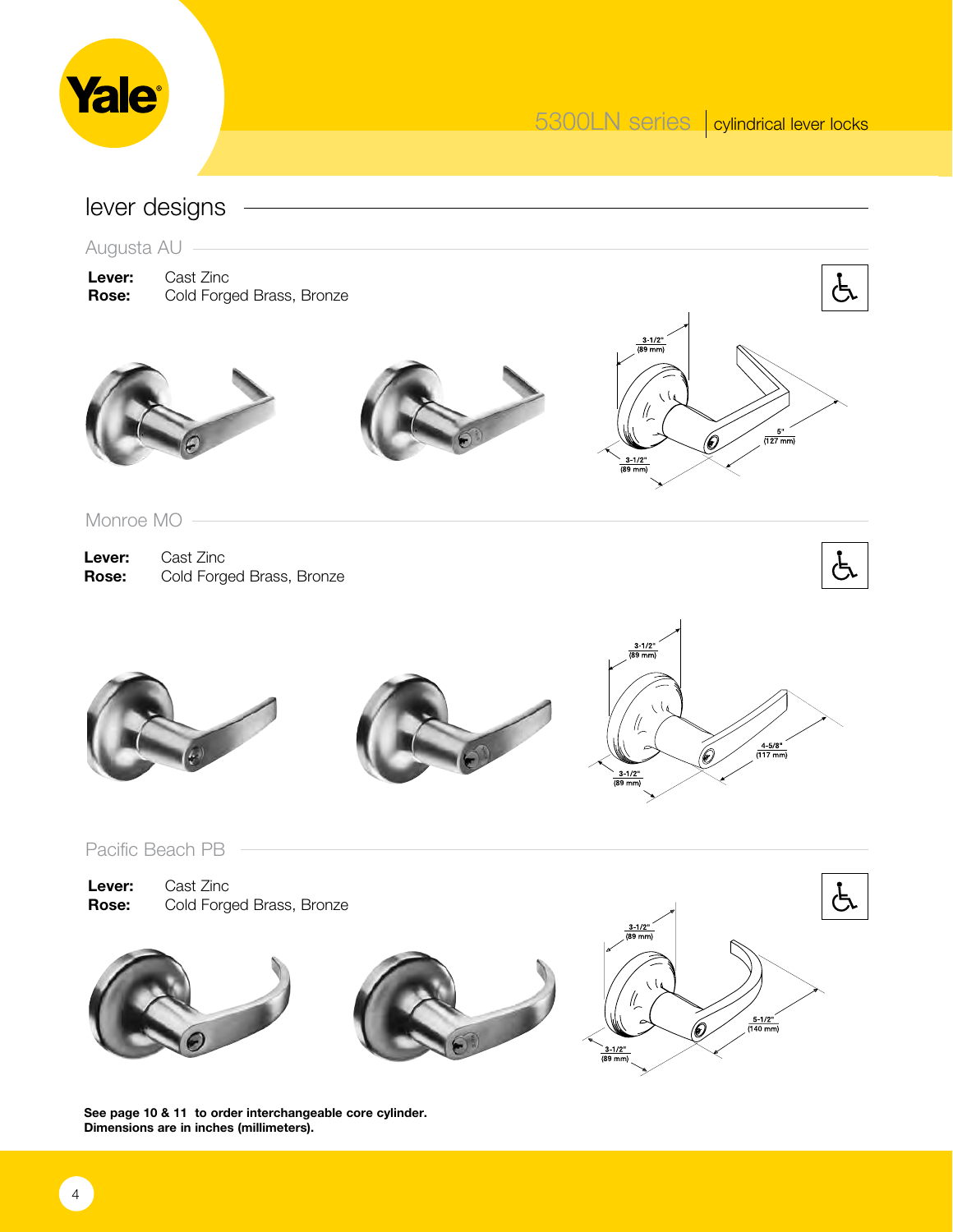

lever designs

Augusta AU

**Lever:** Cast Zinc<br>**Rose:** Cold Forg **Rose:** Cold Forged Brass, Bronze







Monroe MO

**Lever:** Cast Zinc **Rose:** Cold Forged Brass, Bronze









Pacific Beach PB

| Lever:       | Cast Zinc                 |
|--------------|---------------------------|
| <b>Rose:</b> | Cold Forged Brass, Bronze |







**See page 10 & 11 to order interchangeable core cylinder. Dimensions are in inches (millimeters).**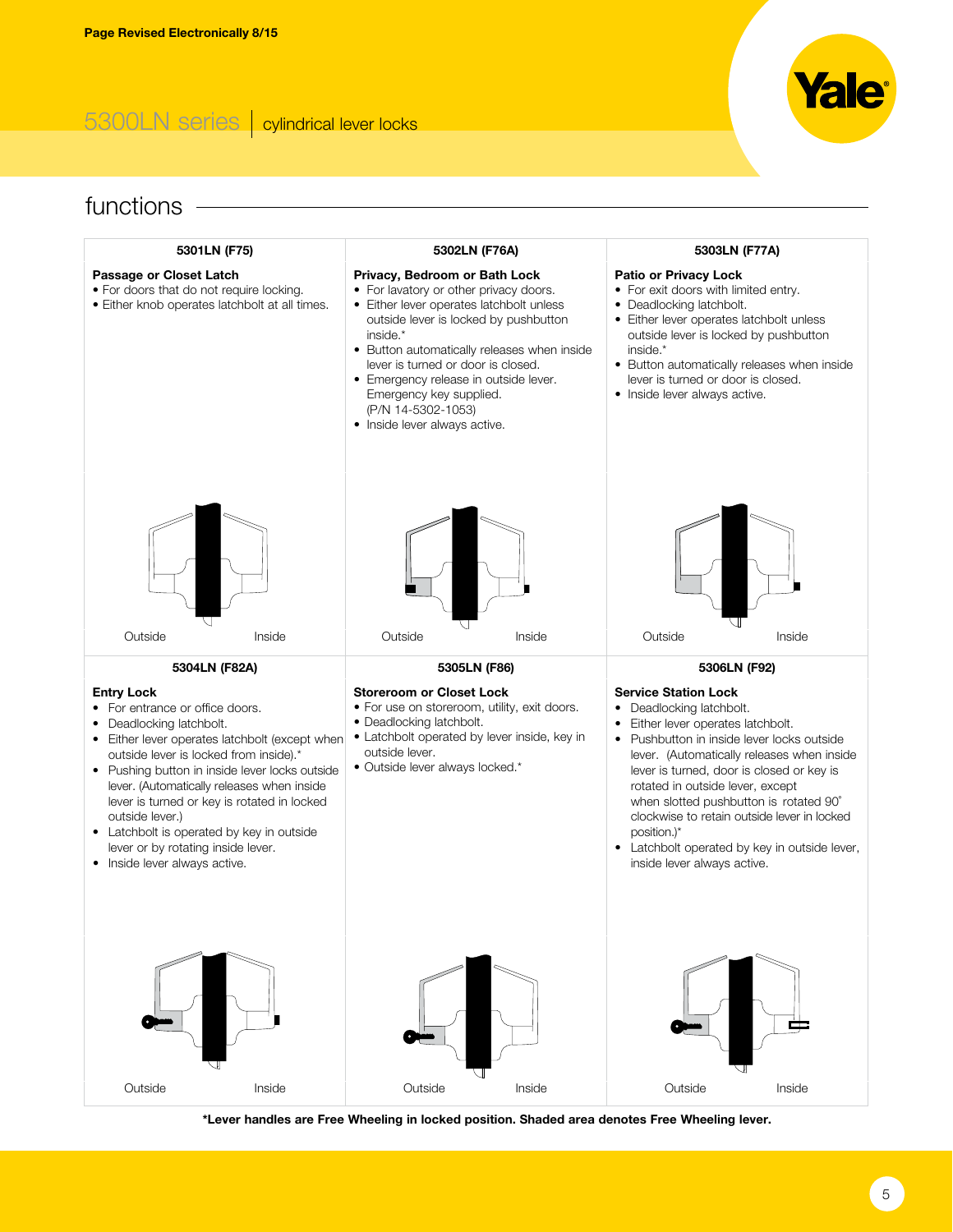## 5300LN series cylindrical lever locks

# functions -



**\*Lever handles are Free Wheeling in locked position. Shaded area denotes Free Wheeling lever.**